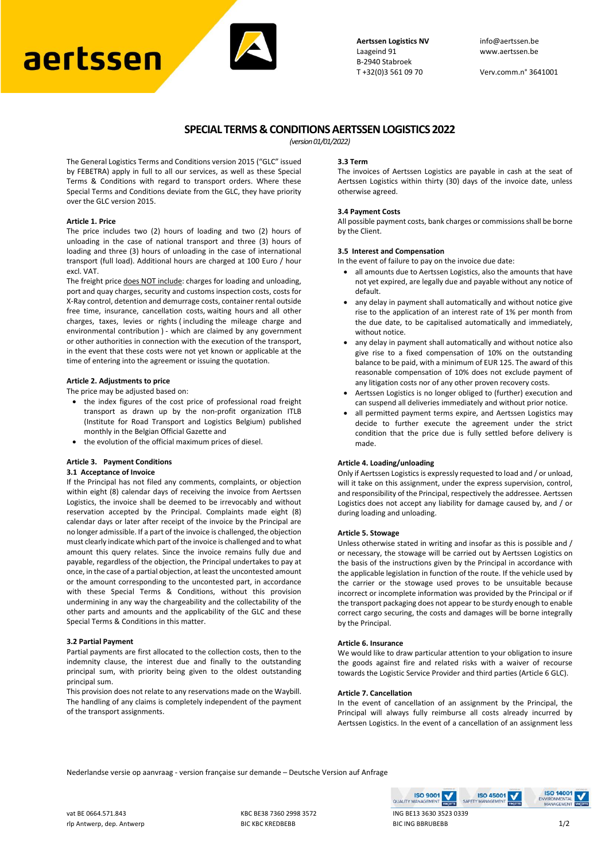# aertssen



**Aertssen Logistics NV** info@aertssen.be Laageind 91 www.aertssen.be B-2940 Stabroek<br>T+32(0)3 561 09 70

Verv.comm.n° 3641001

# **SPECIAL TERMS & CONDITIONS AERTSSEN LOGISTICS 2022**

*(version 01/01/2022)*

The General Logistics Terms and Conditions version 2015 ("GLC" issued by FEBETRA) apply in full to all our services, as well as these Special Terms & Conditions with regard to transport orders. Where these Special Terms and Conditions deviate from the GLC, they have priority over the GLC version 2015.

## **Article 1. Price**

The price includes two (2) hours of loading and two (2) hours of unloading in the case of national transport and three (3) hours of loading and three (3) hours of unloading in the case of international transport (full load). Additional hours are charged at 100 Euro / hour excl. VAT.

The freight price does NOT include: charges for loading and unloading, port and quay charges, security and customs inspection costs, costs for X-Ray control, detention and demurrage costs, container rental outside free time, insurance, cancellation costs, waiting hours and all other charges, taxes, levies or rights ( including the mileage charge and environmental contribution ) - which are claimed by any government or other authorities in connection with the execution of the transport, in the event that these costs were not yet known or applicable at the time of entering into the agreement or issuing the quotation.

#### **Article 2. Adjustments to price**

The price may be adjusted based on:

- the index figures of the cost price of professional road freight transport as drawn up by the non-profit organization ITLB (Institute for Road Transport and Logistics Belgium) published monthly in the Belgian Official Gazette and
- the evolution of the official maximum prices of diesel.

## **Article 3. Payment Conditions**

#### **3.1 Acceptance of Invoice**

If the Principal has not filed any comments, complaints, or objection within eight (8) calendar days of receiving the invoice from Aertssen Logistics, the invoice shall be deemed to be irrevocably and without reservation accepted by the Principal. Complaints made eight (8) calendar days or later after receipt of the invoice by the Principal are no longer admissible. If a part of the invoice is challenged, the objection must clearly indicate which part of the invoice is challenged and to what amount this query relates. Since the invoice remains fully due and payable, regardless of the objection, the Principal undertakes to pay at once, in the case of a partial objection, at least the uncontested amount or the amount corresponding to the uncontested part, in accordance with these Special Terms & Conditions, without this provision undermining in any way the chargeability and the collectability of the other parts and amounts and the applicability of the GLC and these Special Terms & Conditions in this matter.

# **3.2 Partial Payment**

Partial payments are first allocated to the collection costs, then to the indemnity clause, the interest due and finally to the outstanding principal sum, with priority being given to the oldest outstanding principal sum.

This provision does not relate to any reservations made on the Waybill. The handling of any claims is completely independent of the payment of the transport assignments.

#### **3.3 Term**

The invoices of Aertssen Logistics are payable in cash at the seat of Aertssen Logistics within thirty (30) days of the invoice date, unless otherwise agreed.

#### **3.4 Payment Costs**

All possible payment costs, bank charges or commissions shall be borne by the Client.

# **3.5 Interest and Compensation**

In the event of failure to pay on the invoice due date:

- all amounts due to Aertssen Logistics, also the amounts that have not yet expired, are legally due and payable without any notice of default.
- any delay in payment shall automatically and without notice give rise to the application of an interest rate of 1% per month from the due date, to be capitalised automatically and immediately, without notice.
- any delay in payment shall automatically and without notice also give rise to a fixed compensation of 10% on the outstanding balance to be paid, with a minimum of EUR 125. The award of this reasonable compensation of 10% does not exclude payment of any litigation costs nor of any other proven recovery costs.
- Aertssen Logistics is no longer obliged to (further) execution and can suspend all deliveries immediately and without prior notice.
- all permitted payment terms expire, and Aertssen Logistics may decide to further execute the agreement under the strict condition that the price due is fully settled before delivery is made.

#### **Article 4. Loading/unloading**

Only if Aertssen Logistics is expressly requested to load and / or unload, will it take on this assignment, under the express supervision, control, and responsibility of the Principal, respectively the addressee. Aertssen Logistics does not accept any liability for damage caused by, and / or during loading and unloading.

#### **Article 5. Stowage**

Unless otherwise stated in writing and insofar as this is possible and / or necessary, the stowage will be carried out by Aertssen Logistics on the basis of the instructions given by the Principal in accordance with the applicable legislation in function of the route. If the vehicle used by the carrier or the stowage used proves to be unsuitable because incorrect or incomplete information was provided by the Principal or if the transport packaging does not appear to be sturdy enough to enable correct cargo securing, the costs and damages will be borne integrally by the Principal.

#### **Article 6. Insurance**

We would like to draw particular attention to your obligation to insure the goods against fire and related risks with a waiver of recourse towards the Logistic Service Provider and third parties (Article 6 GLC).

#### **Article 7. Cancellation**

In the event of cancellation of an assignment by the Principal, the Principal will always fully reimburse all costs already incurred by Aertssen Logistics. In the event of a cancellation of an assignment less

**ISO 45001** 

Nederlandse versie op aanvraag - version française sur demande – Deutsche Version auf Anfrage

vat BE 0664.571.843 KBC BE38 7360 2998 3572 ING BE13 3630 3523 0339 rlp Antwerp, dep. Antwerp and the BIC KREDBEBB BIC ING BBRUBEBB 1/2

**ISO 9001** 

QUALITY

**ISO 14001**